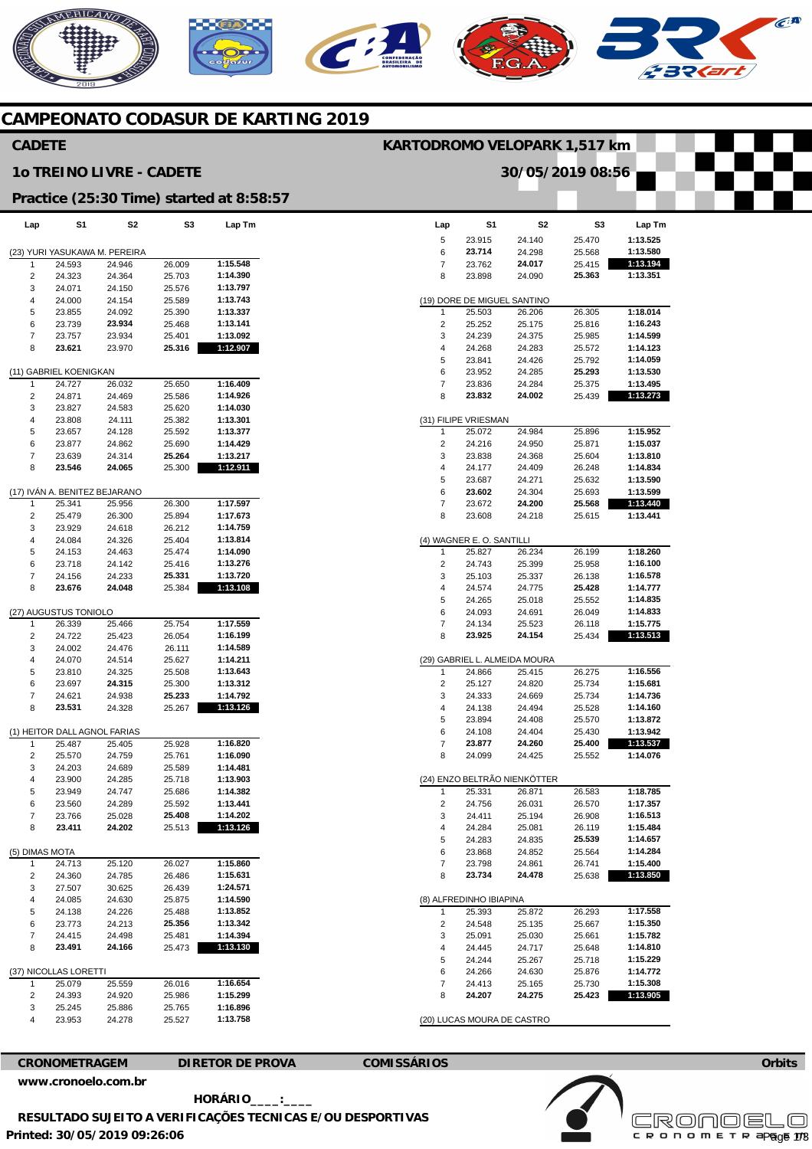# NERICANO  $\mathcal{C}$

# **CAMPEONATO CODASUR DE KARTING 2019**

#### **CADETE**

#### **1o TREINO LIVRE - CADETE**

#### **KARTODROMO VELOPARK 1,517 km**

 $\overline{\phantom{a}}$ 

 $\overline{\phantom{a}}$ 

**30/05/2019 08:56** 

 $\widehat{C}^{A}$ 

 $\overline{\phantom{a}}$ 

### **Practice (25:30 Time) started at 8:58:57**

| Lap                   | S1                            | S2                       | S3               | Lap Tm               |  |  |
|-----------------------|-------------------------------|--------------------------|------------------|----------------------|--|--|
|                       |                               |                          |                  |                      |  |  |
| (23)                  |                               | YURI YASUKAWA M. PEREIRA |                  |                      |  |  |
| 1                     | 24.593                        | 24.946                   | 26.009           | 1:15.548<br>1:14.390 |  |  |
| 2<br>3                | 24.323<br>24.071              | 24.364<br>24.150         | 25.703<br>25.576 | 1:13.797             |  |  |
| 4                     | 24.000                        | 24.154                   | 25.589           | 1:13.743             |  |  |
| 5                     | 23.855                        | 24.092                   | 25.390           | 1:13.337             |  |  |
| 6                     | 23.739                        | 23.934                   | 25.468           | 1:13.141             |  |  |
| 7                     | 23.757                        | 23.934                   | 25.401           | 1:13.092             |  |  |
| 8                     | 23.621                        | 23.970                   | 25.316           | 1:12.907             |  |  |
|                       | (11) GABRIEL KOENIGKAN        |                          |                  |                      |  |  |
| 1                     | 24.727                        | 26.032                   | 25.650           | 1:16.409             |  |  |
| 2                     | 24.871                        | 24.469                   | 25.586           | 1:14.926             |  |  |
| 3                     | 23.827                        | 24.583                   | 25.620           | 1:14.030             |  |  |
| 4                     | 23.808                        | 24.111                   | 25.382           | 1:13.301             |  |  |
| 5                     | 23.657                        | 24.128                   | 25.592           | 1:13.377             |  |  |
| 6                     | 23.877                        | 24.862                   | 25.690           | 1:14.429             |  |  |
| 7                     | 23.639                        | 24.314                   | 25.264           | 1:13.217             |  |  |
| 8                     | 23.546                        | 24.065                   | 25.300           | 1:12.911             |  |  |
|                       | (17) IVÁN A. BENITEZ BEJARANO |                          |                  |                      |  |  |
| 1                     | 25.341                        | 25.956                   | 26.300           | 1:17.597             |  |  |
| 2                     | 25.479                        | 26.300                   | 25.894           | 1:17.673             |  |  |
| 3                     | 23.929                        | 24.618                   | 26.212           | 1:14.759             |  |  |
| 4                     | 24.084                        | 24.326                   | 25.404           | 1:13.814             |  |  |
| 5                     | 24.153                        | 24.463                   | 25.474           | 1:14.090             |  |  |
| 6                     | 23.718                        | 24.142                   | 25.416           | 1:13.276             |  |  |
| 7                     | 24.156<br>23.676              | 24.233<br>24.048         | 25.331<br>25.384 | 1:13.720<br>1:13.108 |  |  |
| 8                     |                               |                          |                  |                      |  |  |
| (27)                  | AUGUSTUS TONIOLO              |                          |                  |                      |  |  |
| 1                     | 26.339                        | 25.466                   | 25.754           | 1:17.559             |  |  |
| 2                     | 24.722                        | 25.423                   | 26.054           | 1:16.199             |  |  |
| 3                     | 24.002                        | 24.476                   | 26.111           | 1:14.589             |  |  |
| 4                     | 24.070                        | 24.514                   | 25.627           | 1:14.211             |  |  |
| 5                     | 23.810                        | 24.325<br>24.315         | 25.508           | 1:13.643<br>1:13.312 |  |  |
| 6<br>7                | 23.697<br>24.621              | 24.938                   | 25.300<br>25.233 | 1:14.792             |  |  |
| 8                     | 23.531                        | 24.328                   | 25.267           | 1:13.126             |  |  |
|                       |                               |                          |                  |                      |  |  |
|                       | (1) HEITOR DALL AGNOL FARIAS  |                          |                  |                      |  |  |
| 1<br>2                | 25.487<br>25.570              | 25.405<br>24.759         | 25.928<br>25.761 | 1:16.820<br>1:16.090 |  |  |
| 3                     | 24.203                        | 24.689                   | 25.589           | 1:14.481             |  |  |
| 4                     | 23.900                        | 24.285                   | 25.718           | 1:13.903             |  |  |
| 5                     | 23.949                        | 24.747                   | 25.686           | 1:14.382             |  |  |
| 6                     | 23.560                        | 24.289                   | 25.592           | 1:13.441             |  |  |
| 7                     | 23.766                        | 25.028                   | 25.408           | 1:14.202             |  |  |
| 8                     | 23.411                        | 24.202                   | 25.513           | 1:13.126             |  |  |
| (5) DIMAS MOTA        |                               |                          |                  |                      |  |  |
| 1                     | 24.713                        | 25.120                   | 26.027           | 1:15.860             |  |  |
| 2                     | 24.360                        | 24.785                   | 26.486           | 1:15.631             |  |  |
| 3                     | 27.507                        | 30.625                   | 26.439           | 1:24.571             |  |  |
| 4                     | 24.085                        | 24.630                   | 25.875           | 1:14.590             |  |  |
| 5                     | 24.138                        | 24.226                   | 25.488           | 1:13.852             |  |  |
| 6                     | 23.773                        | 24.213                   | 25.356           | 1:13.342             |  |  |
| 7                     | 24.415                        | 24.498                   | 25.481           | 1:14.394             |  |  |
| 8                     | 23.491                        | 24.166                   | 25.473           | 1:13.130             |  |  |
| (37) NICOLLAS LORETTI |                               |                          |                  |                      |  |  |
| 1                     | 25.079                        | 25.559                   | 26.016           | 1:16.654             |  |  |
| 2                     | 24.393                        | 24.920                   | 25.986           | 1:15.299             |  |  |
| 3                     | 25.245                        | 25.886                   | 25.765           | 1:16.896             |  |  |
| 4                     | 23.953                        | 24.278                   | 25.527           | 1:13.758             |  |  |

| Lap | S1                          | S2                            | S3     | Lap Tm   |  |  |  |  |
|-----|-----------------------------|-------------------------------|--------|----------|--|--|--|--|
| 5   | 23.915                      | 24.140                        | 25.470 | 1:13.525 |  |  |  |  |
| 6   | 23.714                      | 24.298                        | 25.568 | 1:13.580 |  |  |  |  |
| 7   | 23.762                      | 24.017                        | 25.415 | 1:13.194 |  |  |  |  |
|     |                             |                               |        | 1:13.351 |  |  |  |  |
| 8   | 23.898                      | 24.090                        | 25.363 |          |  |  |  |  |
|     |                             |                               |        |          |  |  |  |  |
|     | (19) DORE DE MIGUEL SANTINO |                               |        |          |  |  |  |  |
| 1   | 25.503                      | 26.206                        | 26.305 | 1:18.014 |  |  |  |  |
| 2   | 25.252                      | 25.175                        | 25.816 | 1:16.243 |  |  |  |  |
| 3   | 24.239                      | 24.375                        | 25.985 | 1:14.599 |  |  |  |  |
| 4   | 24.268                      | 24.283                        | 25.572 | 1:14.123 |  |  |  |  |
| 5   | 23.841                      | 24.426                        | 25.792 | 1:14.059 |  |  |  |  |
| 6   | 23.952                      | 24.285                        | 25.293 | 1:13.530 |  |  |  |  |
| 7   | 23.836                      | 24.284                        | 25.375 | 1:13.495 |  |  |  |  |
| 8   | 23.832                      | 24.002                        | 25.439 | 1:13.273 |  |  |  |  |
|     |                             |                               |        |          |  |  |  |  |
|     | (31) FILIPE VRIESMAN        |                               |        |          |  |  |  |  |
| 1   | 25.072                      | 24.984                        | 25.896 | 1:15.952 |  |  |  |  |
| 2   | 24.216                      | 24.950                        | 25.871 | 1:15.037 |  |  |  |  |
| 3   | 23.838                      | 24.368                        | 25.604 | 1:13.810 |  |  |  |  |
| 4   | 24.177                      | 24.409                        | 26.248 | 1:14.834 |  |  |  |  |
| 5   | 23.687                      | 24.271                        | 25.632 | 1:13.590 |  |  |  |  |
|     | 23.602                      | 24.304                        |        | 1:13.599 |  |  |  |  |
| 6   |                             |                               | 25.693 |          |  |  |  |  |
| 7   | 23.672                      | 24.200                        | 25.568 | 1:13.440 |  |  |  |  |
| 8   | 23.608                      | 24.218                        | 25.615 | 1:13.441 |  |  |  |  |
|     |                             |                               |        |          |  |  |  |  |
|     | (4) WAGNER E. O. SANTILLI   |                               |        |          |  |  |  |  |
| 1   | 25.827                      | 26.234                        | 26.199 | 1:18.260 |  |  |  |  |
| 2   | 24.743                      | 25.399                        | 25.958 | 1:16.100 |  |  |  |  |
| 3   | 25.103                      | 25.337                        | 26.138 | 1:16.578 |  |  |  |  |
| 4   | 24.574                      | 24.775                        | 25.428 | 1:14.777 |  |  |  |  |
| 5   | 24.265                      | 25.018                        | 25.552 | 1:14.835 |  |  |  |  |
| 6   | 24.093                      | 24.691                        | 26.049 | 1:14.833 |  |  |  |  |
| 7   | 24.134                      | 25.523                        | 26.118 | 1:15.775 |  |  |  |  |
| 8   | 23.925                      | 24.154                        | 25.434 | 1:13.513 |  |  |  |  |
|     |                             |                               |        |          |  |  |  |  |
|     |                             | (29) GABRIEL L. ALMEIDA MOURA |        |          |  |  |  |  |
| 1   | 24.866                      | 25.415                        | 26.275 | 1:16.556 |  |  |  |  |
| 2   | 25.127                      | 24.820                        | 25.734 | 1:15.681 |  |  |  |  |
| 3   | 24.333                      | 24.669                        | 25.734 | 1:14.736 |  |  |  |  |
| 4   | 24.138                      | 24.494                        | 25.528 | 1:14.160 |  |  |  |  |
| 5   | 23.894                      | 24.408                        | 25.570 | 1:13.872 |  |  |  |  |
| 6   | 24.108                      | 24.404                        | 25.430 | 1:13.942 |  |  |  |  |
| 7   |                             |                               |        | 1:13.537 |  |  |  |  |
|     | 23.877                      | 24.260                        | 25.400 |          |  |  |  |  |
| 8   | 24.099                      | 24.425                        | 25.552 | 1:14.076 |  |  |  |  |
|     |                             | (24) ENZO BELTRÃO NIENKÖTTER  |        |          |  |  |  |  |
|     |                             |                               |        |          |  |  |  |  |
| 1   | 25.331                      | 26.871                        | 26.583 | 1:18.785 |  |  |  |  |
| 2   | 24.756                      | 26.031                        | 26.570 | 1:17.357 |  |  |  |  |
| 3   | 24.411                      | 25.194                        | 26.908 | 1:16.513 |  |  |  |  |
| 4   | 24.284                      | 25.081                        | 26.119 | 1:15.484 |  |  |  |  |
| 5   | 24.283                      | 24.835                        | 25.539 | 1:14.657 |  |  |  |  |
| 6   | 23.868                      | 24.852                        | 25.564 | 1:14.284 |  |  |  |  |
| 7   | 23.798                      | 24.861                        | 26.741 | 1:15.400 |  |  |  |  |
| 8   | 23.734                      | 24.478                        | 25.638 | 1:13.850 |  |  |  |  |
|     |                             |                               |        |          |  |  |  |  |
|     | (8) ALFREDINHO IBIAPINA     |                               |        |          |  |  |  |  |
| 1   | 25.393                      | 25.872                        | 26.293 | 1:17.558 |  |  |  |  |
| 2   | 24.548                      | 25.135                        | 25.667 | 1:15.350 |  |  |  |  |
| 3   | 25.091                      | 25.030                        | 25.661 | 1:15.782 |  |  |  |  |
| 4   | 24.445                      | 24.717                        | 25.648 | 1:14.810 |  |  |  |  |
| 5   | 24.244                      | 25.267                        | 25.718 | 1:15.229 |  |  |  |  |
| 6   | 24.266                      | 24.630                        | 25.876 | 1:14.772 |  |  |  |  |
| 7   | 24.413                      | 25.165                        | 25.730 | 1:15.308 |  |  |  |  |
| 8   | 24.207                      | 24.275                        | 25.423 | 1:13.905 |  |  |  |  |
|     |                             |                               |        |          |  |  |  |  |

(20) LUCAS MOURA DE CASTRO

### **CRONOMETRAGEM DIRETOR DE PROVA COMISSÁRIOS**



 **HORÁRIO\_\_\_\_:\_\_\_\_** 

**Printed: 30/05/2019 09:26:06 RESULTADO SUJEITO A VERIFICAÇÕES TECNICAS E/OU DESPORTIVAS** 

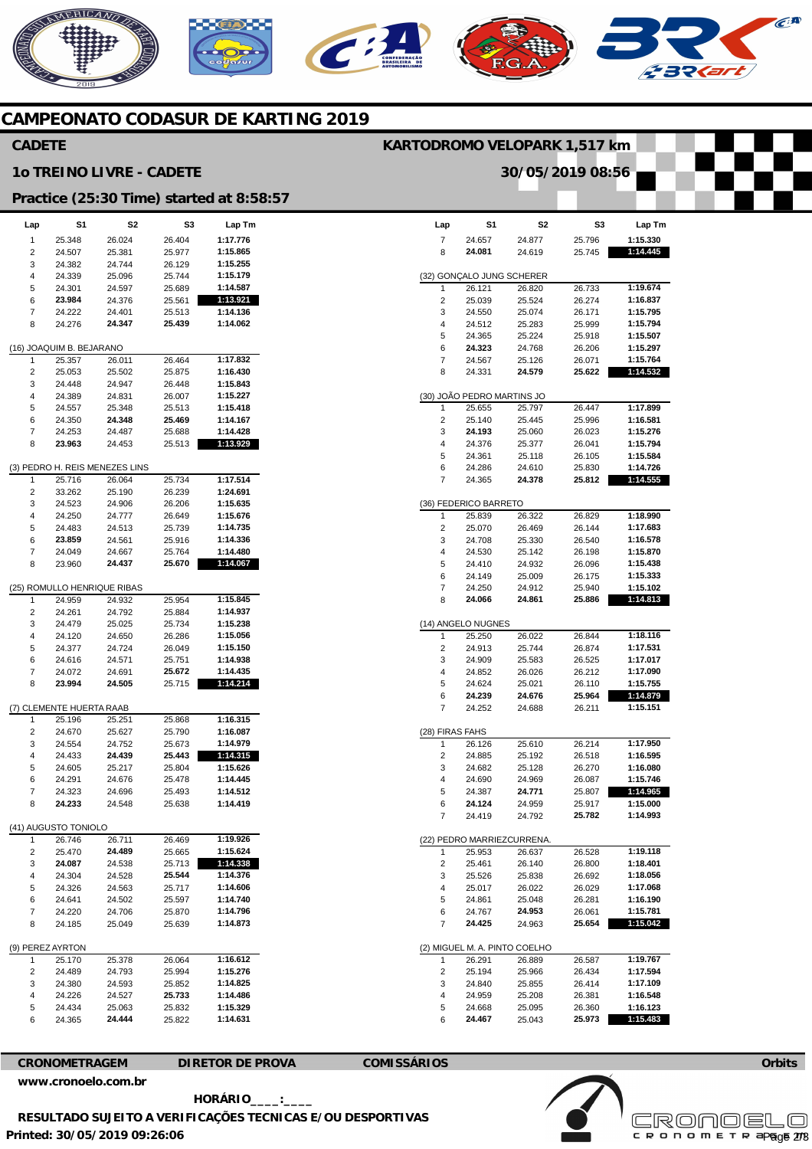# NERICANO  $\epsilon$ **A** C **BO**

# **CAMPEONATO CODASUR DE KARTING 2019**

| <b>CADETE</b>                                       |                          |                                       |                  |                                          | KARTODROMO VELOPARK 1,517 km |                                      |                               |                  |                      |     |
|-----------------------------------------------------|--------------------------|---------------------------------------|------------------|------------------------------------------|------------------------------|--------------------------------------|-------------------------------|------------------|----------------------|-----|
| 30/05/2019 08:56<br><b>10 TREINO LIVRE - CADETE</b> |                          |                                       |                  |                                          |                              |                                      |                               |                  |                      |     |
|                                                     |                          |                                       |                  | Practice (25:30 Time) started at 8:58:57 |                              |                                      |                               |                  |                      |     |
| Lap                                                 | S1                       | S <sub>2</sub>                        | S3               | Lap Tm                                   | Lap                          | S <sub>1</sub>                       | S <sub>2</sub>                | S <sub>3</sub>   | Lap Tm               |     |
| $\mathbf{1}$                                        | 25.348                   | 26.024                                | 26.404           | 1:17.776                                 | $\overline{7}$               | 24.657                               | 24.877                        | 25.796           | 1:15.330             |     |
| $\overline{2}$<br>3                                 | 24.507                   | 25.381<br>24.744                      | 25.977<br>26.129 | 1:15.865<br>1:15.255                     | 8                            | 24.081                               | 24.619                        | 25.745           | 1:14.445             |     |
| 4                                                   | 24.382<br>24.339         | 25.096                                | 25.744           | 1:15.179                                 |                              | (32) GONÇALO JUNG SCHERER            |                               |                  |                      |     |
| 5                                                   | 24.301                   | 24.597                                | 25.689           | 1:14.587                                 | $\mathbf{1}$                 | 26.121                               | 26.820                        | 26.733           | 1:19.674             |     |
| 6                                                   | 23.984                   | 24.376                                | 25.561           | 1:13.921                                 | $\sqrt{2}$                   | 25.039                               | 25.524                        | 26.274           | 1:16.837             |     |
| $\overline{7}$                                      | 24.222                   | 24.401                                | 25.513           | 1:14.136                                 | 3                            | 24.550                               | 25.074                        | 26.171           | 1:15.795             |     |
| 8                                                   | 24.276                   | 24.347                                | 25.439           | 1:14.062                                 | 4<br>5                       | 24.512<br>24.365                     | 25.283<br>25.224              | 25.999<br>25.918 | 1:15.794<br>1:15.507 |     |
|                                                     | (16) JOAQUIM B. BEJARANO |                                       |                  |                                          | 6                            | 24.323                               | 24.768                        | 26.206           | 1:15.297             |     |
| 1                                                   | 25.357                   | 26.011                                | 26.464           | 1:17.832                                 | $\overline{7}$               | 24.567                               | 25.126                        | 26.071           | 1:15.764             |     |
| 2                                                   | 25.053                   | 25.502                                | 25.875           | 1:16.430                                 | 8                            | 24.331                               | 24.579                        | 25.622           | 1:14.532             |     |
| 3                                                   | 24.448                   | 24.947                                | 26.448           | 1:15.843                                 |                              |                                      |                               |                  |                      |     |
| 4<br>5                                              | 24.389<br>24.557         | 24.831<br>25.348                      | 26.007<br>25.513 | 1:15.227<br>1:15.418                     | $\mathbf{1}$                 | (30) JOÃO PEDRO MARTINS JO<br>25.655 | 25.797                        | 26.447           | 1:17.899             |     |
| 6                                                   | 24.350                   | 24.348                                | 25.469           | 1:14.167                                 | $\overline{c}$               | 25.140                               | 25.445                        | 25.996           | 1:16.581             |     |
| 7                                                   | 24.253                   | 24.487                                | 25.688           | 1:14.428                                 | 3                            | 24.193                               | 25.060                        | 26.023           | 1:15.276             |     |
| 8                                                   | 23.963                   | 24.453                                | 25.513           | 1:13.929                                 | 4                            | 24.376                               | 25.377                        | 26.041           | 1:15.794             |     |
|                                                     |                          | (3) PEDRO H. REIS MENEZES LINS        |                  |                                          | 5<br>6                       | 24.361<br>24.286                     | 25.118<br>24.610              | 26.105<br>25.830 | 1:15.584<br>1:14.726 |     |
| 1                                                   | 25.716                   | 26.064                                | 25.734           | 1:17.514                                 | $\overline{7}$               | 24.365                               | 24.378                        | 25.812           | 1:14.555             |     |
| $\overline{2}$                                      | 33.262                   | 25.190                                | 26.239           | 1:24.691                                 |                              |                                      |                               |                  |                      |     |
| 3                                                   | 24.523                   | 24.906                                | 26.206           | 1:15.635                                 |                              | (36) FEDERICO BARRETO                |                               |                  |                      |     |
| $\overline{4}$                                      | 24.250                   | 24.777                                | 26.649           | 1:15.676                                 | $\mathbf{1}$                 | 25.839                               | 26.322                        | 26.829           | 1:18.990             |     |
| 5<br>6                                              | 24.483<br>23.859         | 24.513<br>24.561                      | 25.739<br>25.916 | 1:14.735<br>1:14.336                     | $\overline{c}$<br>3          | 25.070<br>24.708                     | 26.469<br>25.330              | 26.144<br>26.540 | 1:17.683<br>1:16.578 |     |
| $\overline{7}$                                      | 24.049                   | 24.667                                | 25.764           | 1:14.480                                 | 4                            | 24.530                               | 25.142                        | 26.198           | 1:15.870             |     |
| 8                                                   | 23.960                   | 24.437                                | 25.670           | 1:14.067                                 | 5                            | 24.410                               | 24.932                        | 26.096           | 1:15.438             |     |
|                                                     |                          |                                       |                  |                                          | 6                            | 24.149                               | 25.009                        | 26.175           | 1:15.333             |     |
| 1                                                   | 24.959                   | (25) ROMULLO HENRIQUE RIBAS<br>24.932 | 25.954           | 1:15.845                                 | $\overline{7}$<br>8          | 24.250<br>24.066                     | 24.912<br>24.861              | 25.940<br>25.886 | 1:15.102<br>1:14.813 |     |
| $\overline{2}$                                      | 24.261                   | 24.792                                | 25.884           | 1:14.937                                 |                              |                                      |                               |                  |                      |     |
| 3                                                   | 24.479                   | 25.025                                | 25.734           | 1:15.238                                 |                              | (14) ANGELO NUGNES                   |                               |                  |                      |     |
| 4                                                   | 24.120                   | 24.650                                | 26.286           | 1:15.056                                 | $\mathbf{1}$                 | 25.250                               | 26.022                        | 26.844           | 1:18.116             |     |
| 5<br>6                                              | 24.377                   | 24.724                                | 26.049<br>25.751 | 1:15.150<br>1:14.938                     | $\overline{\mathbf{c}}$<br>3 | 24.913<br>24.909                     | 25.744<br>25.583              | 26.874<br>26.525 | 1:17.531<br>1:17.017 |     |
| $\overline{7}$                                      | 24.616<br>24.072         | 24.571<br>24.691                      | 25.672           | 1:14.435                                 | 4                            | 24.852                               | 26.026                        | 26.212           | 1:17.090             |     |
| 8                                                   | 23.994                   | 24.505                                | 25.715           | 1:14.214                                 | 5                            | 24.624                               | 25.021                        | 26.110           | 1:15.755             |     |
|                                                     |                          |                                       |                  |                                          | 6                            | 24.239                               | 24.676                        | 25.964           | 1:14.879             |     |
|                                                     | (7) CLEMENTE HUERTA RAAB |                                       |                  |                                          | $\overline{7}$               | 24.252                               | 24.688                        | 26.211           | 1:15.151             |     |
| 1<br>$\overline{2}$                                 | 25.196<br>24.670         | 25.251<br>25.627                      | 25.868<br>25.790 | 1:16.315<br>1:16.087                     | (28) FIRAS FAHS              |                                      |                               |                  |                      |     |
| 3                                                   | 24.554                   | 24.752                                | 25.673           | 1:14.979                                 | 1                            | 26.126                               | 25.610                        | 26.214           | 1:17.950             |     |
| 4                                                   | 24.433                   | 24.439                                | 25.443           | 1:14.315                                 | $\overline{\mathbf{c}}$      | 24.885                               | 25.192                        | 26.518           | 1:16.595             |     |
| 5                                                   | 24.605                   | 25.217                                | 25.804           | 1:15.626                                 | 3                            | 24.682                               | 25.128                        | 26.270           | 1:16.080             |     |
| 6                                                   | 24.291                   | 24.676                                | 25.478           | 1:14.445                                 | 4                            | 24.690                               | 24.969                        | 26.087           | 1:15.746             |     |
| 7<br>8                                              | 24.323<br>24.233         | 24.696<br>24.548                      | 25.493<br>25.638 | 1:14.512<br>1:14.419                     | 5<br>6                       | 24.387<br>24.124                     | 24.771<br>24.959              | 25.807<br>25.917 | 1:14.965<br>1:15.000 |     |
|                                                     |                          |                                       |                  |                                          | $\overline{7}$               | 24.419                               | 24.792                        | 25.782           | 1:14.993             |     |
|                                                     | (41) AUGUSTO TONIOLO     |                                       |                  |                                          |                              |                                      |                               |                  |                      |     |
| 1                                                   | 26.746                   | 26.711                                | 26.469           | 1:19.926                                 |                              |                                      | (22) PEDRO MARRIEZCURRENA.    |                  |                      |     |
| 2                                                   | 25.470<br>24.087         | 24.489                                | 25.665           | 1:15.624<br>1:14.338                     | $\mathbf{1}$                 | 25.953                               | 26.637                        | 26.528           | 1:19.118<br>1:18.401 |     |
| 3<br>4                                              | 24.304                   | 24.538<br>24.528                      | 25.713<br>25.544 | 1:14.376                                 | $\sqrt{2}$<br>3              | 25.461<br>25.526                     | 26.140<br>25.838              | 26.800<br>26.692 | 1:18.056             |     |
| 5                                                   | 24.326                   | 24.563                                | 25.717           | 1:14.606                                 | 4                            | 25.017                               | 26.022                        | 26.029           | 1:17.068             |     |
| 6                                                   | 24.641                   | 24.502                                | 25.597           | 1:14.740                                 | 5                            | 24.861                               | 25.048                        | 26.281           | 1:16.190             |     |
| $\overline{7}$                                      | 24.220                   | 24.706                                | 25.870           | 1:14.796                                 | 6                            | 24.767                               | 24.953                        | 26.061           | 1:15.781             |     |
| 8                                                   | 24.185                   | 25.049                                | 25.639           | 1:14.873                                 | $\overline{7}$               | 24.425                               | 24.963                        | 25.654           | 1:15.042             |     |
|                                                     | (9) PEREZ AYRTON         |                                       |                  |                                          |                              |                                      | (2) MIGUEL M. A. PINTO COELHO |                  |                      |     |
| $\mathbf{1}$                                        | 25.170                   | 25.378                                | 26.064           | 1:16.612                                 | $\mathbf{1}$                 | 26.291                               | 26.889                        | 26.587           | 1:19.767             |     |
| $\overline{\mathbf{c}}$                             | 24.489                   | 24.793                                | 25.994           | 1:15.276                                 | $\sqrt{2}$                   | 25.194                               | 25.966                        | 26.434           | 1:17.594             |     |
| 3                                                   | 24.380                   | 24.593                                | 25.852           | 1:14.825                                 | 3                            | 24.840                               | 25.855                        | 26.414           | 1:17.109             |     |
| 4<br>5                                              | 24.226<br>24.434         | 24.527<br>25.063                      | 25.733<br>25.832 | 1:14.486<br>1:15.329                     | 4<br>5                       | 24.959<br>24.668                     | 25.208<br>25.095              | 26.381<br>26.360 | 1:16.548<br>1:16.123 |     |
| 6                                                   | 24.365                   | 24.444                                | 25.822           | 1:14.631                                 | 6                            | 24.467                               | 25.043                        | 25.973           | 1:15.483             |     |
|                                                     |                          |                                       |                  |                                          |                              |                                      |                               |                  |                      |     |
|                                                     |                          |                                       |                  |                                          |                              |                                      |                               |                  |                      |     |
|                                                     | <b>CRONOMETRAGEM</b>     |                                       |                  | <b>DIRETOR DE PROVA</b>                  | <b>COMISSÁRIOS</b>           |                                      |                               |                  |                      | Orl |

**[www.cronoelo.com.br](http://www.cronoelo.com.br)** 

**Printed: 30/05/2019 09:26:06 HORÁRIO\_\_\_\_:\_\_\_\_ RESULTADO SUJEITO A VERIFICAÇÕES TECNICAS E/OU DESPORTIVAS**  **Licensed to: Cronoelo**  Page 2/3

**Orbits** 

┎